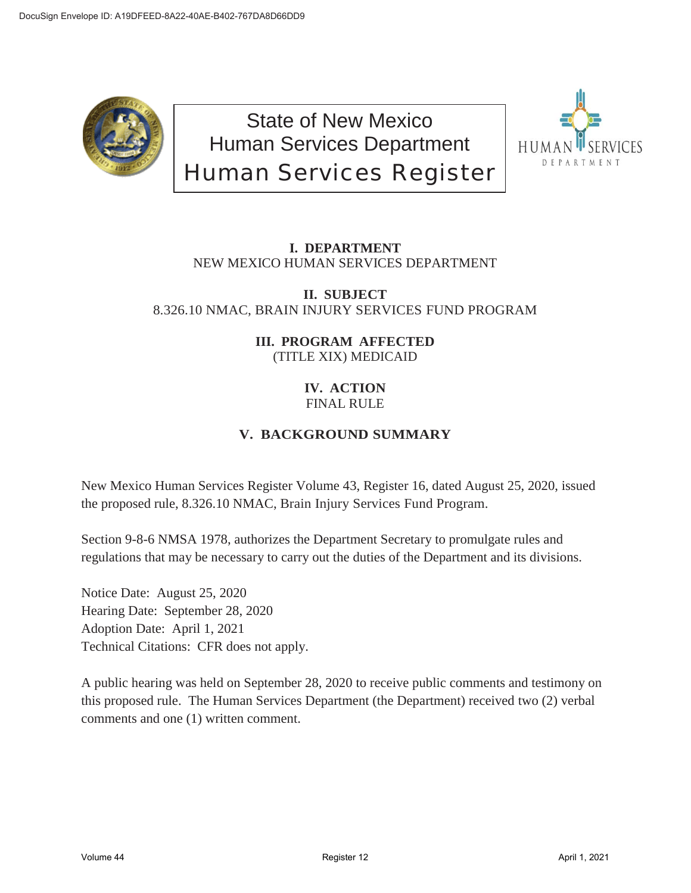

State of New Mexico Human Services Department Human Services Register



# **I. DEPARTMENT** NEW MEXICO HUMAN SERVICES DEPARTMENT

# **II. SUBJECT** 8.326.10 NMAC, BRAIN INJURY SERVICES FUND PROGRAM

# **III. PROGRAM AFFECTED** (TITLE XIX) MEDICAID

# **IV. ACTION** FINAL RULE

# **V. BACKGROUND SUMMARY**

New Mexico Human Services Register Volume 43, Register 16, dated August 25, 2020, issued the proposed rule, 8.326.10 NMAC, Brain Injury Services Fund Program.

Section 9-8-6 NMSA 1978, authorizes the Department Secretary to promulgate rules and regulations that may be necessary to carry out the duties of the Department and its divisions.

Notice Date: August 25, 2020 Hearing Date: September 28, 2020 Adoption Date: April 1, 2021 Technical Citations: CFR does not apply.

A public hearing was held on September 28, 2020 to receive public comments and testimony on this proposed rule. The Human Services Department (the Department) received two (2) verbal comments and one (1) written comment.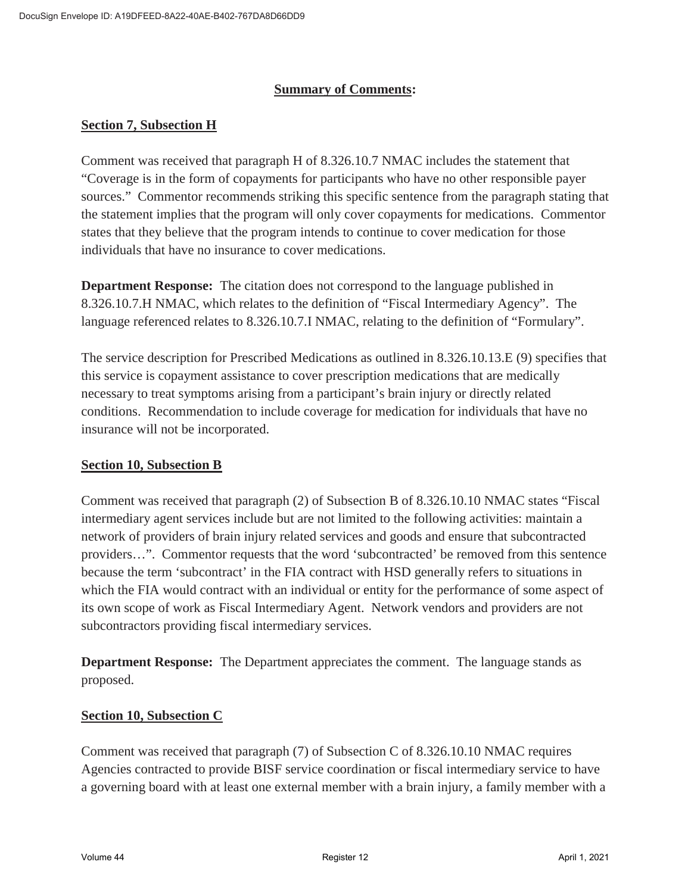## **Summary of Comments:**

## **Section 7, Subsection H**

Comment was received that paragraph H of 8.326.10.7 NMAC includes the statement that "Coverage is in the form of copayments for participants who have no other responsible payer sources." Commentor recommends striking this specific sentence from the paragraph stating that the statement implies that the program will only cover copayments for medications. Commentor states that they believe that the program intends to continue to cover medication for those individuals that have no insurance to cover medications.

**Department Response:** The citation does not correspond to the language published in 8.326.10.7.H NMAC, which relates to the definition of "Fiscal Intermediary Agency". The language referenced relates to 8.326.10.7.I NMAC, relating to the definition of "Formulary".

The service description for Prescribed Medications as outlined in 8.326.10.13.E (9) specifies that this service is copayment assistance to cover prescription medications that are medically necessary to treat symptoms arising from a participant's brain injury or directly related conditions. Recommendation to include coverage for medication for individuals that have no insurance will not be incorporated.

#### **Section 10, Subsection B**

Comment was received that paragraph (2) of Subsection B of 8.326.10.10 NMAC states "Fiscal intermediary agent services include but are not limited to the following activities: maintain a network of providers of brain injury related services and goods and ensure that subcontracted providers…". Commentor requests that the word 'subcontracted' be removed from this sentence because the term 'subcontract' in the FIA contract with HSD generally refers to situations in which the FIA would contract with an individual or entity for the performance of some aspect of its own scope of work as Fiscal Intermediary Agent. Network vendors and providers are not subcontractors providing fiscal intermediary services.

**Department Response:** The Department appreciates the comment. The language stands as proposed.

#### **Section 10, Subsection C**

Comment was received that paragraph (7) of Subsection C of 8.326.10.10 NMAC requires Agencies contracted to provide BISF service coordination or fiscal intermediary service to have a governing board with at least one external member with a brain injury, a family member with a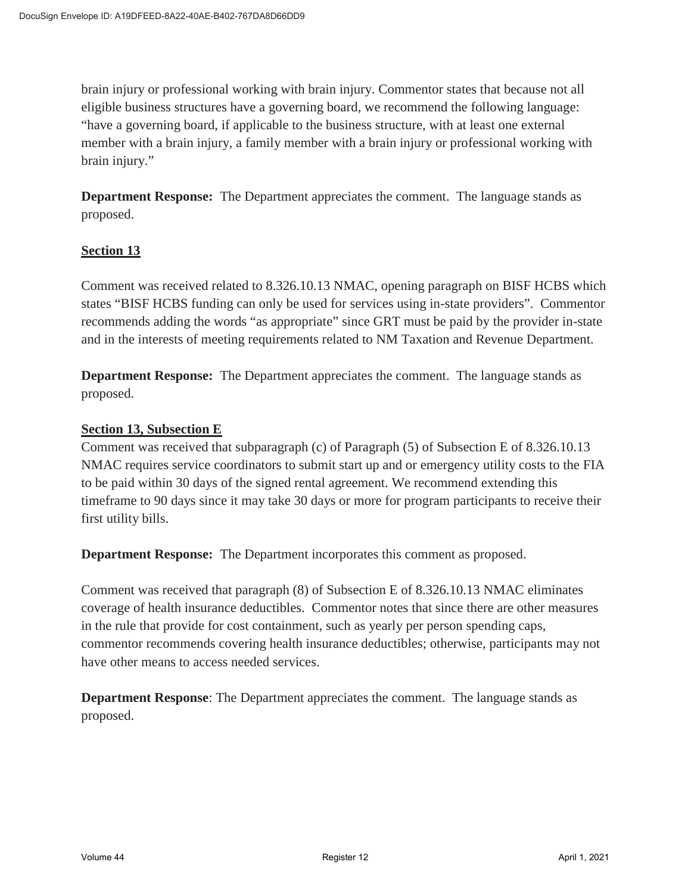brain injury or professional working with brain injury. Commentor states that because not all eligible business structures have a governing board, we recommend the following language: "have a governing board, if applicable to the business structure, with at least one external member with a brain injury, a family member with a brain injury or professional working with brain injury."

**Department Response:** The Department appreciates the comment. The language stands as proposed.

## **Section 13**

Comment was received related to 8.326.10.13 NMAC, opening paragraph on BISF HCBS which states "BISF HCBS funding can only be used for services using in-state providers". Commentor recommends adding the words "as appropriate" since GRT must be paid by the provider in-state and in the interests of meeting requirements related to NM Taxation and Revenue Department.

**Department Response:** The Department appreciates the comment. The language stands as proposed.

#### **Section 13, Subsection E**

Comment was received that subparagraph (c) of Paragraph (5) of Subsection E of 8.326.10.13 NMAC requires service coordinators to submit start up and or emergency utility costs to the FIA to be paid within 30 days of the signed rental agreement. We recommend extending this timeframe to 90 days since it may take 30 days or more for program participants to receive their first utility bills.

**Department Response:** The Department incorporates this comment as proposed.

Comment was received that paragraph (8) of Subsection E of 8.326.10.13 NMAC eliminates coverage of health insurance deductibles. Commentor notes that since there are other measures in the rule that provide for cost containment, such as yearly per person spending caps, commentor recommends covering health insurance deductibles; otherwise, participants may not have other means to access needed services.

**Department Response**: The Department appreciates the comment. The language stands as proposed.